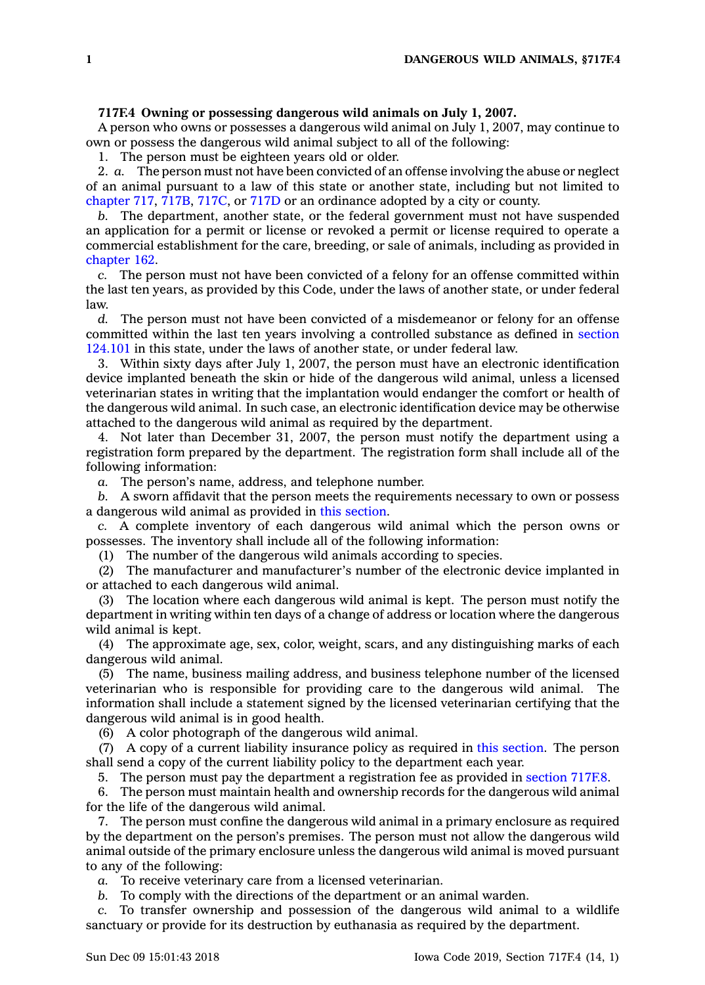## **717F.4 Owning or possessing dangerous wild animals on July 1, 2007.**

A person who owns or possesses <sup>a</sup> dangerous wild animal on July 1, 2007, may continue to own or possess the dangerous wild animal subject to all of the following:

1. The person must be eighteen years old or older.

2. *a.* The person must not have been convicted of an offense involving the abuse or neglect of an animal pursuant to <sup>a</sup> law of this state or another state, including but not limited to [chapter](https://www.legis.iowa.gov/docs/code//717.pdf) 717, [717B](https://www.legis.iowa.gov/docs/code//717B.pdf), [717C](https://www.legis.iowa.gov/docs/code//717C.pdf), or [717D](https://www.legis.iowa.gov/docs/code//717D.pdf) or an ordinance adopted by <sup>a</sup> city or county.

*b.* The department, another state, or the federal government must not have suspended an application for <sup>a</sup> permit or license or revoked <sup>a</sup> permit or license required to operate <sup>a</sup> commercial establishment for the care, breeding, or sale of animals, including as provided in [chapter](https://www.legis.iowa.gov/docs/code//162.pdf) 162.

*c.* The person must not have been convicted of <sup>a</sup> felony for an offense committed within the last ten years, as provided by this Code, under the laws of another state, or under federal law.

*d.* The person must not have been convicted of <sup>a</sup> misdemeanor or felony for an offense committed within the last ten years involving <sup>a</sup> controlled substance as defined in [section](https://www.legis.iowa.gov/docs/code/124.101.pdf) [124.101](https://www.legis.iowa.gov/docs/code/124.101.pdf) in this state, under the laws of another state, or under federal law.

3. Within sixty days after July 1, 2007, the person must have an electronic identification device implanted beneath the skin or hide of the dangerous wild animal, unless <sup>a</sup> licensed veterinarian states in writing that the implantation would endanger the comfort or health of the dangerous wild animal. In such case, an electronic identification device may be otherwise attached to the dangerous wild animal as required by the department.

4. Not later than December 31, 2007, the person must notify the department using <sup>a</sup> registration form prepared by the department. The registration form shall include all of the following information:

*a.* The person's name, address, and telephone number.

*b.* A sworn affidavit that the person meets the requirements necessary to own or possess <sup>a</sup> dangerous wild animal as provided in this [section](https://www.legis.iowa.gov/docs/code/717F.4.pdf).

*c.* A complete inventory of each dangerous wild animal which the person owns or possesses. The inventory shall include all of the following information:

(1) The number of the dangerous wild animals according to species.

(2) The manufacturer and manufacturer's number of the electronic device implanted in or attached to each dangerous wild animal.

(3) The location where each dangerous wild animal is kept. The person must notify the department in writing within ten days of <sup>a</sup> change of address or location where the dangerous wild animal is kept.

(4) The approximate age, sex, color, weight, scars, and any distinguishing marks of each dangerous wild animal.

(5) The name, business mailing address, and business telephone number of the licensed veterinarian who is responsible for providing care to the dangerous wild animal. The information shall include <sup>a</sup> statement signed by the licensed veterinarian certifying that the dangerous wild animal is in good health.

(6) A color photograph of the dangerous wild animal.

(7) A copy of <sup>a</sup> current liability insurance policy as required in this [section](https://www.legis.iowa.gov/docs/code/717F.4.pdf). The person shall send <sup>a</sup> copy of the current liability policy to the department each year.

5. The person must pay the department <sup>a</sup> registration fee as provided in [section](https://www.legis.iowa.gov/docs/code/717F.8.pdf) 717F.8.

6. The person must maintain health and ownership records for the dangerous wild animal for the life of the dangerous wild animal.

7. The person must confine the dangerous wild animal in <sup>a</sup> primary enclosure as required by the department on the person's premises. The person must not allow the dangerous wild animal outside of the primary enclosure unless the dangerous wild animal is moved pursuant to any of the following:

*a.* To receive veterinary care from <sup>a</sup> licensed veterinarian.

*b.* To comply with the directions of the department or an animal warden.

*c.* To transfer ownership and possession of the dangerous wild animal to <sup>a</sup> wildlife sanctuary or provide for its destruction by euthanasia as required by the department.